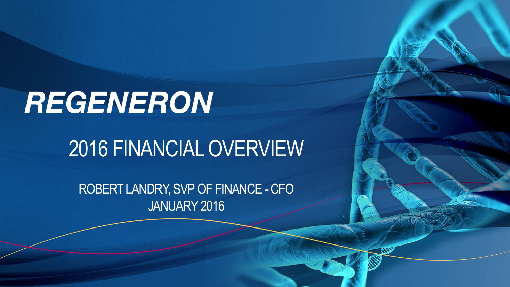# **REGENERON**

## 2016 FINANCIAL OVERVIEW

ROBERT LANDRY, SVP OF FINANCE -CFO JANUARY 2016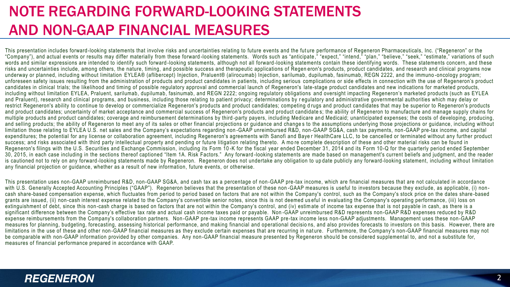### NOTE REGARDING FORWARD-LOOKING STATEMENTS AND NON-GAAP FINANCIAL MEASURES

This presentation includes forward-looking statements that involve risks and uncertainties relating to future events and the future performance of Regeneron Pharmaceuticals, Inc. ("Regeneron" or the "Company"), and actual events or results may differ materially from these forward-looking statements. Words such as "anticipate," "expect," "intend," "plan," "believe," "seek," "estimate," variations of such words and similar expressions are intended to identify such forward-looking statements, although not all forward-looking statements contain these identifying words. These statements concern, and these risks and uncertainties include, among others, the nature, timing, and possible success and therapeutic applications of Regen eron's products, product candidates, and research and clinical programs now underway or planned, including without limitation EYLEA® (aflibercept) Injection, Praluent® (alirocumab) Injection, sarilumab, dupilumab, fasinumab, REGN 2222, and the immuno -oncology program; unforeseen safety issues resulting from the administration of products and product candidates in patients, including serious complications or side effects in connection with the use of Regeneron's product candidates in clinical trials; the likelihood and timing of possible regulatory approval and commercial launch of Regeneron's late-stage product candidates and new indications for marketed products, including without limitation EYLEA, Praluent, sarilumab, dupilumab, fasinumab, and REGN 2222; ongoing regulatory obligations and oversight impacting Regeneron's marketed products (such as EYLEA and Praluent), research and clinical programs, and business, including those relating to patient privacy; determinations by r egulatory and administrative governmental authorities which may delay or restrict Regeneron's ability to continue to develop or commercialize Regeneron's products and product candidates; competing d rugs and product candidates that may be superior to Regeneron's products and product candidates; uncertainty of market acceptance and commercial success of Regeneron's products and product candidates; the ability of Regeneron to manufacture and manage supply chains for multiple products and product candidates; coverage and reimbursement determinations by third -party payers, including Medicare and Medicaid; unanticipated expenses; the costs of developing, producing, and selling products; the ability of Regeneron to meet any of its sales or other financial projections or guidance and change s to the assumptions underlying those projections or guidance, including without limitation those relating to EYLEA U.S. net sales and the Company's expectations regarding non -GAAP unreimbursed R&D, non-GAAP SG&A, cash tax payments, non-GAAP pre-tax income, and capital expenditures; the potential for any license or collaboration agreement, including Regeneron's agreements with Sanofi and Baye r HealthCare LLC, to be cancelled or terminated without any further product success; and risks associated with third party intellectual property and pending or future litigation relating thereto. A more complete description of these and other material risks can be found in Regeneron's filings with the U.S. Securities and Exchange Commission, including its Form 10-K for the fiscal year ended December 31, 2014 and its Form 10-Q for the quarterly period ended September 30, 2015, in each case including in the sections thereof captioned "Item 1A. Risk Factors." Any forward -looking statements are made based on management's current beliefs and judgment, and the reader is cautioned not to rely on any forward-looking statements made by Regeneron. Regeneron does not undertake any obligation to up date publicly any forward-looking statement, including without limitation any financial projection or guidance, whether as a result of new information, future events, or otherwise.

This presentation uses non-GAAP unreimbursed R&D, non-GAAP SG&A, and cash tax as a percentage of non -GAAP pre-tax income, which are financial measures that are not calculated in accordance with U.S. Generally Accepted Accounting Principles ("GAAP"). Regeneron believes that the presentation of these non-GAAP measures is useful to investors because they exclude, as applicable, (i) noncash share-based compensation expense, which fluctuates from period to period based on factors that are not within the Company's control, such as the Company's stock price on the dates share -based grants are issued, (ii) non-cash interest expense related to the Company's convertible senior notes, since this is not deemed useful in evaluating the Company's operating performance, (iii) loss on extinguishment of debt, since this non-cash charge is based on factors that are not within the Company's control, and (iv) estimate of income tax expense that is not payable in cash, as there is a significant difference between the Company's effective tax rate and actual cash income taxes paid or payable. Non-GAAP unreimbursed R&D represents non-GAAP R&D expenses reduced by R&D expense reimbursements from the Company's collaboration partners. Non-GAAP pre-tax income represents GAAP pre-tax income less non-GAAP adjustments. Management uses these non-GAAP measures for planning, budgeting, forecasting, assessing historical performance, and making financial and operational decisio ns, and also provides forecasts to investors on this basis. However, there are limitations in the use of these and other non-GAAP financial measures as they exclude certain expenses that are recurring in nature. Furthermore, the Company's non-GAAP financial measures may not be comparable with non-GAAP information provided by other companies. Any non-GAAP financial measure presented by Regeneron should be considered supplemental to, and not a substitute for, measures of financial performance prepared in accordance with GAAP.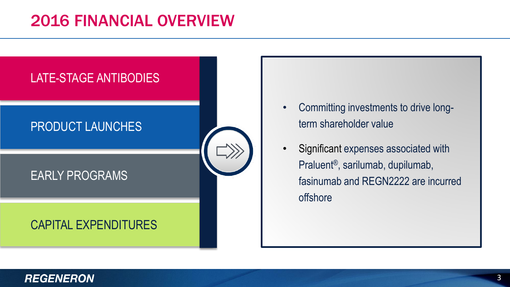

- Committing investments to drive longterm shareholder value
- Significant expenses associated with Praluent®, sarilumab, dupilumab, fasinumab and REGN2222 are incurred offshore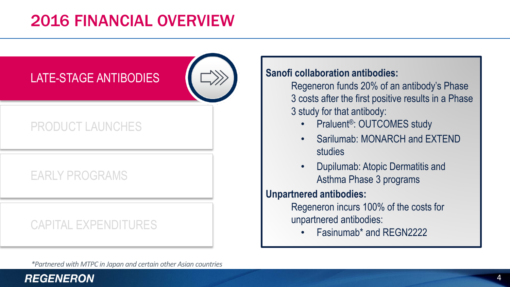### LATE-STAGE ANTIBODIES

### PRODUCT LAUNCHES

### EARLY PROGRAMS

### CAPITAL EXPENDITURES

#### **Sanofi collaboration antibodies:**

Regeneron funds 20% of an antibody's Phase 3 costs after the first positive results in a Phase 3 study for that antibody:

- Praluent<sup>®</sup>: OUTCOMES study
- Sarilumab: MONARCH and EXTEND studies
- Dupilumab: Atopic Dermatitis and Asthma Phase 3 programs

#### **Unpartnered antibodies:**

Regeneron incurs 100% of the costs for unpartnered antibodies:

• Fasinumab\* and REGN2222

*\*Partnered with MTPC in Japan and certain other Asian countries*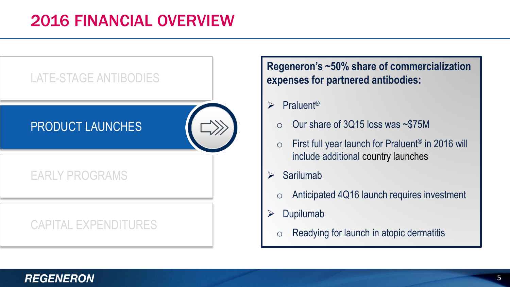

#### **Regeneron's ~50% share of commercialization expenses for partnered antibodies:**

- $\triangleright$  Praluent<sup>®</sup>
	- o Our share of 3Q15 loss was ~\$75M
	- $\circ$  First full year launch for Praluent<sup>®</sup> in 2016 will include additional country launches
- $\triangleright$  Sarilumab
	- o Anticipated 4Q16 launch requires investment
- $\triangleright$  Dupilumab
	- $\circ$  Readying for launch in atopic dermatitis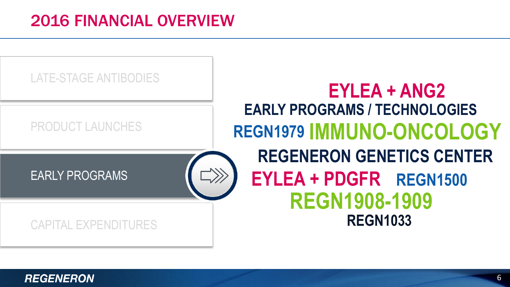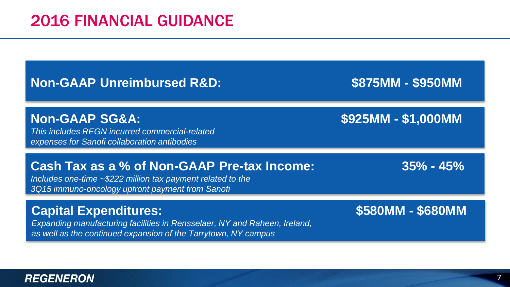**Non-GAAP Unreimbursed R&D: \$875MM - \$950MM**

#### **Non-GAAP SG&A: \$925MM - \$1,000MM**

*This includes REGN incurred commercial-related expenses for Sanofi collaboration antibodies*

#### **Cash Tax as a % of Non-GAAP Pre-tax Income: 35% - 45%**

*Includes one-time ~\$222 million tax payment related to the 3Q15 immuno-oncology upfront payment from Sanofi*

#### **Capital Expenditures: \$580MM - \$680MM**

*Expanding manufacturing facilities in Rensselaer, NY and Raheen, Ireland, as well as the continued expansion of the Tarrytown, NY campus*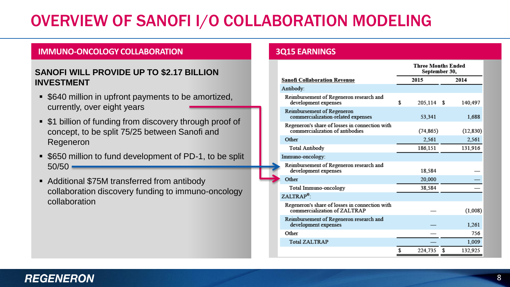## OVERVIEW OF SANOFI I/O COLLABORATION MODELING

#### **IMMUNO-ONCOLOGY COLLABORATION 3Q15 EARNINGS**

#### **SANOFI WILL PROVIDE UP TO \$2.17 BILLION INVESTMENT**

- **.5640 million in upfront payments to be amortized,** currently, over eight years
- $\bullet$  **\$1 billion of funding from discovery through proof of** concept, to be split 75/25 between Sanofi and Regeneron
- **\$650 million to fund development of PD-1, to be split**  $50/50$
- Additional \$75M transferred from antibody collaboration discovery funding to immuno-oncology collaboration

|                                                                                   |   | <b>Three Months Ended</b><br>September 30, |           |  |
|-----------------------------------------------------------------------------------|---|--------------------------------------------|-----------|--|
| <b>Sanofi Collaboration Revenue</b>                                               |   | 2015                                       | 2014      |  |
| Antibody:                                                                         |   |                                            |           |  |
| Reimbursement of Regeneron research and<br>development expenses                   | S | 205,114 \$                                 | 140,497   |  |
| Reimbursement of Regeneron<br>commercialization-related expenses                  |   | 53,341                                     | 1,688     |  |
| Regeneron's share of losses in connection with<br>commercialization of antibodies |   | (74, 865)                                  | (12, 830) |  |
| Other                                                                             |   | 2.561                                      | 2,561     |  |
| <b>Total Antibody</b>                                                             |   | 186,151                                    | 131,916   |  |
| Immuno-oncology:                                                                  |   |                                            |           |  |
| Reimbursement of Regeneron research and<br>development expenses                   |   | 18.584                                     |           |  |
| Other                                                                             |   | 20,000                                     |           |  |
| Total Immuno-oncology                                                             |   | 38,584                                     |           |  |
| ZALTRAP <sup>®</sup> :                                                            |   |                                            |           |  |
| Regeneron's share of losses in connection with<br>commercialization of ZALTRAP    |   |                                            | (1,008)   |  |
| Reimbursement of Regeneron research and<br>development expenses                   |   |                                            | 1.261     |  |
| Other                                                                             |   |                                            | 756       |  |
| <b>Total ZALTRAP</b>                                                              |   |                                            | 1.009     |  |
|                                                                                   |   | 224,735                                    | 132,925   |  |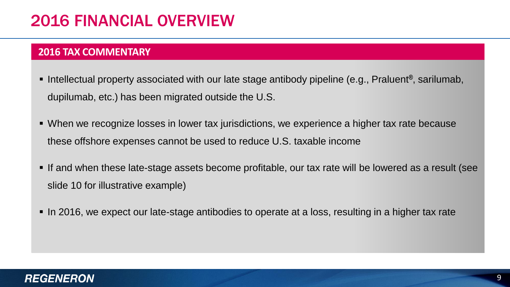#### **2016 TAX COMMENTARY**

- Intellectual property associated with our late stage antibody pipeline (e.g., Praluent<sup>®</sup>, sarilumab, dupilumab, etc.) has been migrated outside the U.S.
- When we recognize losses in lower tax jurisdictions, we experience a higher tax rate because these offshore expenses cannot be used to reduce U.S. taxable income
- If and when these late-stage assets become profitable, our tax rate will be lowered as a result (see slide 10 for illustrative example)
- In 2016, we expect our late-stage antibodies to operate at a loss, resulting in a higher tax rate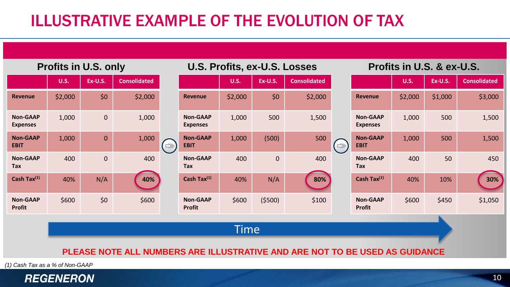### ILLUSTRATIVE EXAMPLE OF THE EVOLUTION OF TAX

**Profits in U.S. only U.S. Profits, ex-U.S. Losses Profits in U.S. & ex-U.S. U.S. Ex-U.S. Consolidated U.S. Ex-U.S. Consolidated U.S. Ex-U.S. Consolidated Revenue** \$2,000 \$0 \$2,000 **Revenue** \$2,000 \$0 \$2,000 **Revenue** \$2,000 \$1,000 \$3,000 **Non-GAAP**  1,000 0 1,000 **Non-GAAP**  1,000 500 1,500 **Non-GAAP**  1,000 500 1,500 **Expenses Expenses Expenses Non-GAAP**  1,000 500 1,500 **Non-GAAP**  1,000 0 1,000 1,000 (500) 500 **Non-GAAP**   $\Rightarrow$  $\Rightarrow$ **EBIT EBIT EBIT Non-GAAP Non-GAAP Non-GAAP**  400 0 400 400 0 400 400 50 450 **Tax Tax Tax Cash Tax(1)** 40% N/A **40% Cash Tax**<sup>(1)</sup> 40% **N/A 80% Cash Tax(1)** 40% 10% **30%** \$600 \$0 \$600 **Non-GAAP Non-GAAP**   $$600$   $$500$   $$100$ **Non-GAAP**  \$600 \$450 \$1,050 **Profit Profit Profit** Time **PLEASE NOTE ALL NUMBERS ARE ILLUSTRATIVE AND ARE NOT TO BE USED AS GUIDANCE**

*(1) Cash Tax as a % of Non-GAAP*